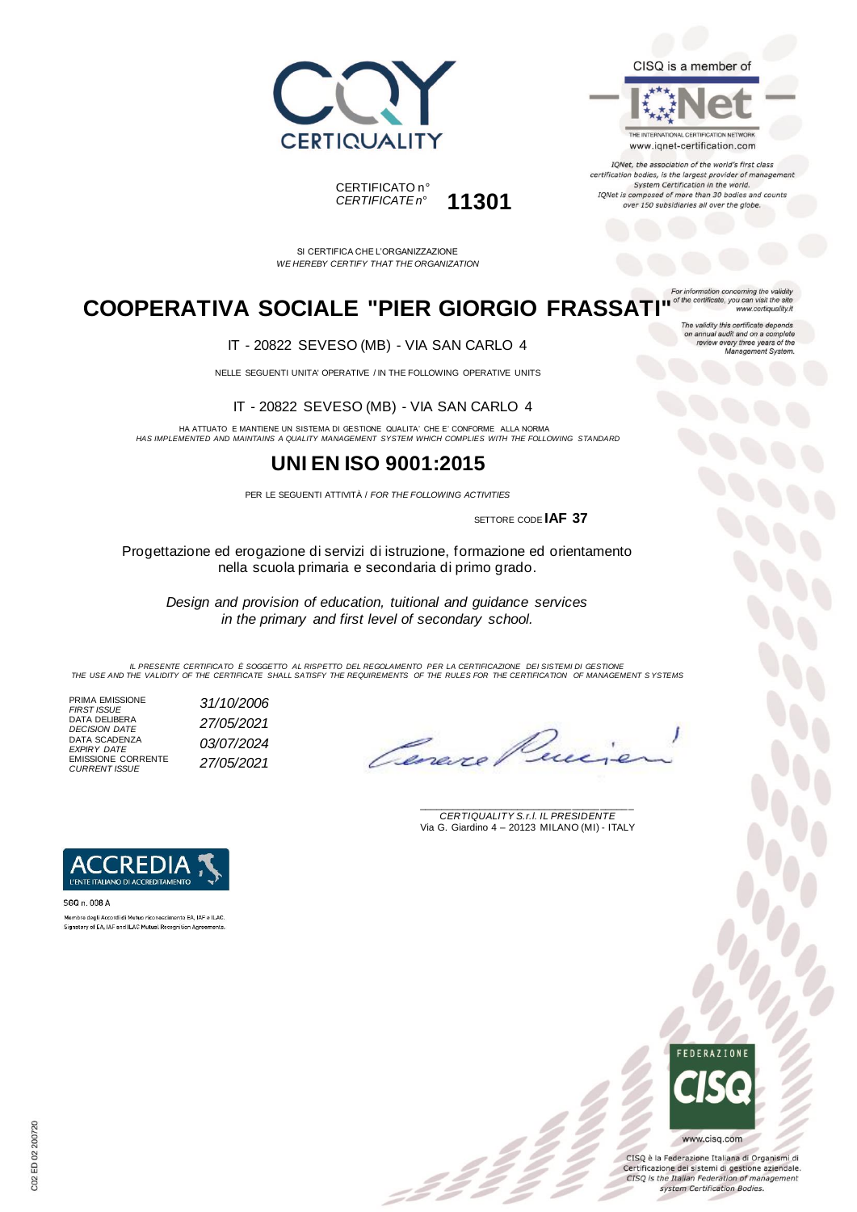



IQNet, the association of the world's first class certification bodies, is the largest provider of manageme System Certification in the world. IQNet is composed of more than 30 bodies and counts over 150 subsidiaries all over the globe.





SI CERTIFICA CHE L'ORGANIZZAZIONE *WE HEREBY CERTIFY THAT THE ORGANIZATION*

## **COOPERATIVA SOCIALE "PIER GIORGIO FRASSATI"**

www.certiquality.it The validity this certificate depends on annual audit and on a complete<br>on annual audit and on a complete<br>review every three years of the<br>Management System.

IT - 20822 SEVESO (MB) - VIA SAN CARLO 4

NELLE SEGUENTI UNITA' OPERATIVE / IN THE FOLLOWING OPERATIVE UNITS

IT - 20822 SEVESO (MB) - VIA SAN CARLO 4

HA ATTUATO E MANTIENE UN SISTEMA DI GESTIONE QUALITA' CHE E' CONFORME ALLA NORMA *HAS IMPLEMENTED AND MAINTAINS A QUALITY MANAGEMENT SYSTEM WHICH COMPLIES WITH THE FOLLOWING STANDARD*

#### **UNI EN ISO 9001:2015**

PER LE SEGUENTI ATTIVITÀ / *FOR THE FOLLOWING ACTIVITIES*

SETTORE CODE **IAF 37**

Progettazione ed erogazione di servizi di istruzione, formazione ed orientamento nella scuola primaria e secondaria di primo grado.

*Design and provision of education, tuitional and guidance services in the primary and first level of secondary school.*

IL PRESENTE CERTIFICATO E SOGGETTO AL RISPETTO DEL REGOLAMENTO PER LA CERTIFICAZIONE DEI SISTEMI DI GESTIONE<br>THE USE AND THE VALIDITY OF THE CERTIFICATE SHALL SATISFY THE REQUIREMENTS OF THE RULES FOR THE CERTIFICATION OF

= 2 2<br>-

PRIMA EMISSIONE *FIRST ISSUE 31/10/2006* DATA DELIBERA *DECISION DATE 27/05/2021* DATA SCADENZA *EXPIRY DATE 03/07/2024* EMISSIONE CORRENTE *CURRENT ISSUE 27/05/2021*

Cerexe

\_\_\_\_\_\_\_\_\_\_\_\_\_\_\_\_\_\_\_\_\_\_\_\_\_\_\_\_\_\_\_\_\_\_\_\_\_\_\_ *CERTIQUALITY S.r.l. IL PRESIDENTE* Via G. Giardino 4 – 20123 MILANO (MI) - ITALY



Membro degli Accordi di Mutuo riconoscimento EA, IAF e ILAC. Signatory of EA, IAF and ILAC Mutual Recognition Agreements

> **FRERAZIONS** www.cisq.com

CISQ è la Federazione Italiana di Organismi di Certificazione dei sistemi di gestione aziendale. CISQ is the Italian Federation of management system Certification Bodies.